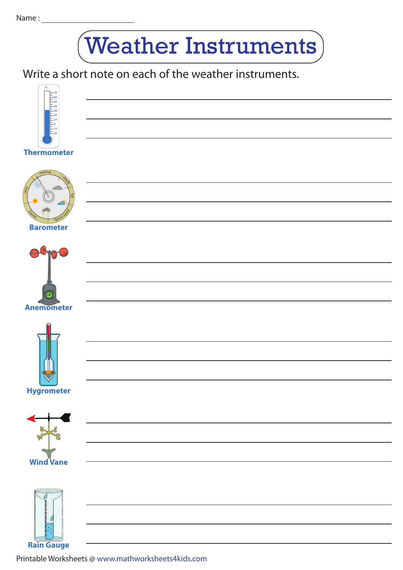## Weather Instruments

<u> 1980 - Johann Barnett, fransk politiker (</u>

<u> 1989 - Johann Barnett, fransk politiker</u>

Write a short note on each of the weather instruments.



## **Thermometer**











Printable Worksheets @ www.mathworksheets4kids.com